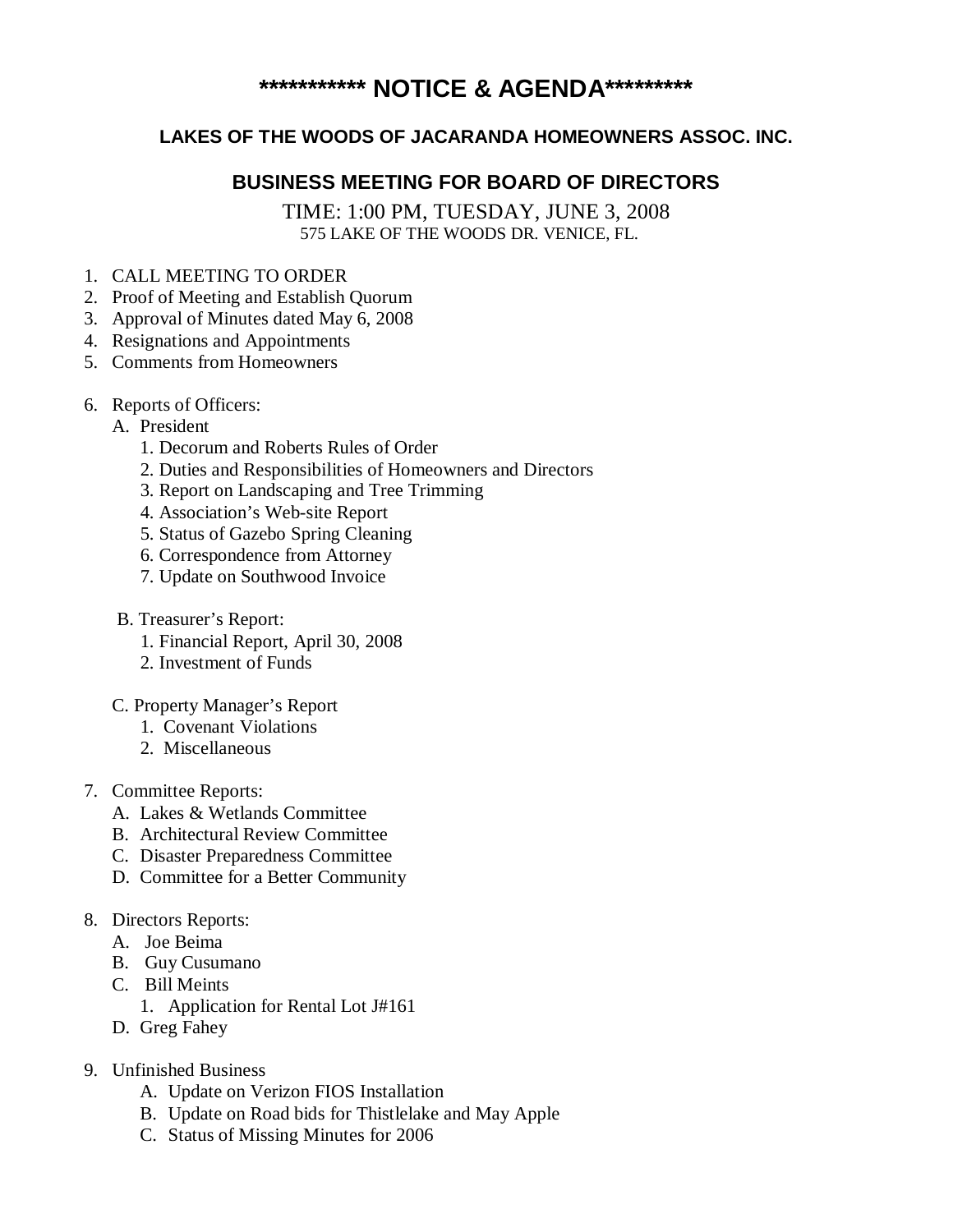## **\*\*\*\*\*\*\*\*\*\*\* NOTICE & AGENDA\*\*\*\*\*\*\*\*\***

## **LAKES OF THE WOODS OF JACARANDA HOMEOWNERS ASSOC. INC.**

## **BUSINESS MEETING FOR BOARD OF DIRECTORS**

TIME: 1:00 PM, TUESDAY, JUNE 3, 2008 575 LAKE OF THE WOODS DR. VENICE, FL.

- 1. CALL MEETING TO ORDER
- 2. Proof of Meeting and Establish Quorum
- 3. Approval of Minutes dated May 6, 2008
- 4. Resignations and Appointments
- 5. Comments from Homeowners
- 6. Reports of Officers:
	- A. President
		- 1. Decorum and Roberts Rules of Order
		- 2. Duties and Responsibilities of Homeowners and Directors
		- 3. Report on Landscaping and Tree Trimming
		- 4. Association's Web-site Report
		- 5. Status of Gazebo Spring Cleaning
		- 6. Correspondence from Attorney
		- 7. Update on Southwood Invoice
	- B. Treasurer's Report:
		- 1. Financial Report, April 30, 2008
		- 2. Investment of Funds
	- C. Property Manager's Report
		- 1. Covenant Violations
		- 2. Miscellaneous
- 7. Committee Reports:
	- A. Lakes & Wetlands Committee
	- B. Architectural Review Committee
	- C. Disaster Preparedness Committee
	- D. Committee for a Better Community
- 8. Directors Reports:
	- A. Joe Beima
	- B. Guy Cusumano
	- C. Bill Meints
		- 1. Application for Rental Lot J#161
	- D. Greg Fahey
- 9. Unfinished Business
	- A. Update on Verizon FIOS Installation
	- B. Update on Road bids for Thistlelake and May Apple
	- C. Status of Missing Minutes for 2006